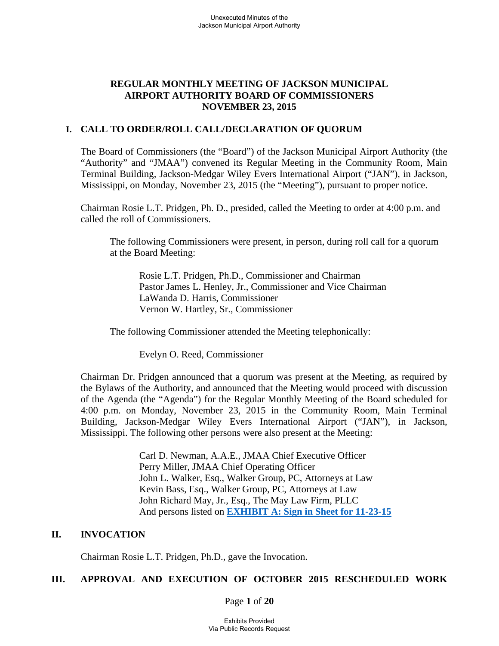# **REGULAR MONTHLY MEETING OF JACKSON MUNICIPAL AIRPORT AUTHORITY BOARD OF COMMISSIONERS NOVEMBER 23, 2015**

# **I. CALL TO ORDER/ROLL CALL/DECLARATION OF QUORUM**

The Board of Commissioners (the "Board") of the Jackson Municipal Airport Authority (the "Authority" and "JMAA") convened its Regular Meeting in the Community Room, Main Terminal Building, Jackson-Medgar Wiley Evers International Airport ("JAN"), in Jackson, Mississippi, on Monday, November 23, 2015 (the "Meeting"), pursuant to proper notice.

Chairman Rosie L.T. Pridgen, Ph. D., presided, called the Meeting to order at 4:00 p.m. and called the roll of Commissioners.

The following Commissioners were present, in person, during roll call for a quorum at the Board Meeting:

 Rosie L.T. Pridgen, Ph.D., Commissioner and Chairman Pastor James L. Henley, Jr., Commissioner and Vice Chairman LaWanda D. Harris, Commissioner Vernon W. Hartley, Sr., Commissioner

The following Commissioner attended the Meeting telephonically:

Evelyn O. Reed, Commissioner

Chairman Dr. Pridgen announced that a quorum was present at the Meeting, as required by the Bylaws of the Authority, and announced that the Meeting would proceed with discussion of the Agenda (the "Agenda") for the Regular Monthly Meeting of the Board scheduled for 4:00 p.m. on Monday, November 23, 2015 in the Community Room, Main Terminal Building, Jackson-Medgar Wiley Evers International Airport ("JAN"), in Jackson, Mississippi. The following other persons were also present at the Meeting:

> Carl D. Newman, A.A.E., JMAA Chief Executive Officer Perry Miller, JMAA Chief Operating Officer John L. Walker, Esq., Walker Group, PC, Attorneys at Law Kevin Bass, Esq., Walker Group, PC, Attorneys at Law John Richard May, Jr., Esq., The May Law Firm, PLLC And persons listed on **EXHIBIT A: Sign in Sheet for 11-23-15**

## **II. INVOCATION**

Chairman Rosie L.T. Pridgen, Ph.D., gave the Invocation.

# **III. APPROVAL AND EXECUTION OF OCTOBER 2015 RESCHEDULED WORK**

Page **1** of **20**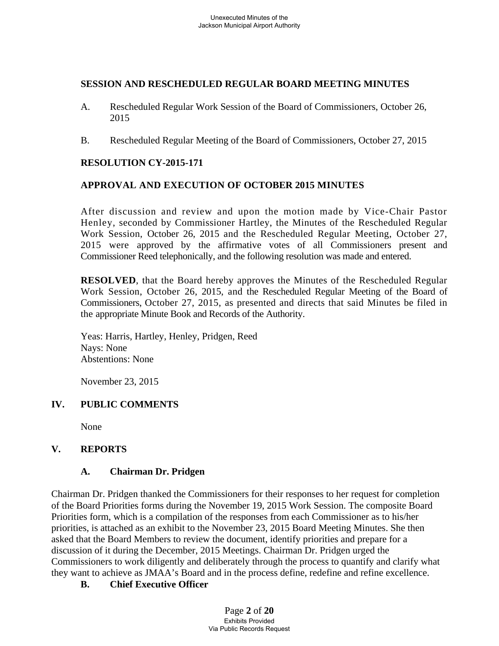## **SESSION AND RESCHEDULED REGULAR BOARD MEETING MINUTES**

- A. Rescheduled Regular Work Session of the Board of Commissioners, October 26, 2015
- B. Rescheduled Regular Meeting of the Board of Commissioners, October 27, 2015

# **RESOLUTION CY-2015-171**

# **APPROVAL AND EXECUTION OF OCTOBER 2015 MINUTES**

After discussion and review and upon the motion made by Vice-Chair Pastor Henley, seconded by Commissioner Hartley, the Minutes of the Rescheduled Regular Work Session, October 26, 2015 and the Rescheduled Regular Meeting, October 27, 2015 were approved by the affirmative votes of all Commissioners present and Commissioner Reed telephonically, and the following resolution was made and entered.

**RESOLVED**, that the Board hereby approves the Minutes of the Rescheduled Regular Work Session, October 26, 2015, and the Rescheduled Regular Meeting of the Board of Commissioners, October 27, 2015, as presented and directs that said Minutes be filed in the appropriate Minute Book and Records of the Authority.

Yeas: Harris, Hartley, Henley, Pridgen, Reed Nays: None Abstentions: None

November 23, 2015

# **IV. PUBLIC COMMENTS**

None

# **V. REPORTS**

# **A. Chairman Dr. Pridgen**

Chairman Dr. Pridgen thanked the Commissioners for their responses to her request for completion of the Board Priorities forms during the November 19, 2015 Work Session. The composite Board Priorities form, which is a compilation of the responses from each Commissioner as to his/her priorities, is attached as an exhibit to the November 23, 2015 Board Meeting Minutes. She then asked that the Board Members to review the document, identify priorities and prepare for a discussion of it during the December, 2015 Meetings. Chairman Dr. Pridgen urged the Commissioners to work diligently and deliberately through the process to quantify and clarify what they want to achieve as JMAA's Board and in the process define, redefine and refine excellence.

# **B. Chief Executive Officer**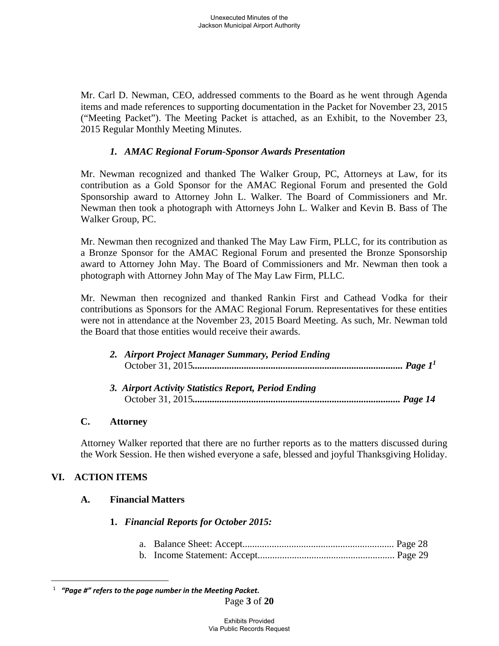Mr. Carl D. Newman, CEO, addressed comments to the Board as he went through Agenda items and made references to supporting documentation in the Packet for November 23, 2015 ("Meeting Packet"). The Meeting Packet is attached, as an Exhibit, to the November 23, 2015 Regular Monthly Meeting Minutes.

# *1. AMAC Regional Forum-Sponsor Awards Presentation*

Mr. Newman recognized and thanked The Walker Group, PC, Attorneys at Law, for its contribution as a Gold Sponsor for the AMAC Regional Forum and presented the Gold Sponsorship award to Attorney John L. Walker. The Board of Commissioners and Mr. Newman then took a photograph with Attorneys John L. Walker and Kevin B. Bass of The Walker Group, PC.

Mr. Newman then recognized and thanked The May Law Firm, PLLC, for its contribution as a Bronze Sponsor for the AMAC Regional Forum and presented the Bronze Sponsorship award to Attorney John May. The Board of Commissioners and Mr. Newman then took a photograph with Attorney John May of The May Law Firm, PLLC.

Mr. Newman then recognized and thanked Rankin First and Cathead Vodka for their contributions as Sponsors for the AMAC Regional Forum. Representatives for these entities were not in attendance at the November 23, 2015 Board Meeting. As such, Mr. Newman told the Board that those entities would receive their awards.

| 2. Airport Project Manager Summary, Period Ending    |  |
|------------------------------------------------------|--|
| 3. Airport Activity Statistics Report, Period Ending |  |

# **C. Attorney**

Attorney Walker reported that there are no further reports as to the matters discussed during the Work Session. He then wished everyone a safe, blessed and joyful Thanksgiving Holiday.

# **VI. ACTION ITEMS**

 $\overline{a}$ 

# **A. Financial Matters**

# **1.** *Financial Reports for October 2015:*

|--|--|--|--|

b. Income Statement: Accept........................................................ Page 29

<sup>1</sup>  *"Page #" refers to the page number in the Meeting Packet.*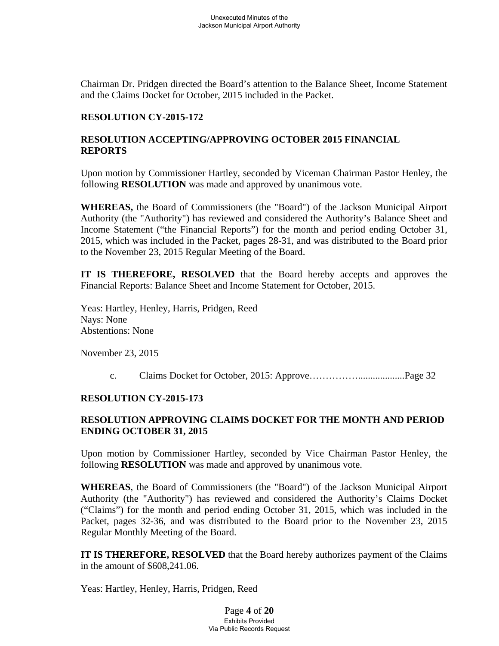Chairman Dr. Pridgen directed the Board's attention to the Balance Sheet, Income Statement and the Claims Docket for October, 2015 included in the Packet.

## **RESOLUTION CY-2015-172**

# **RESOLUTION ACCEPTING/APPROVING OCTOBER 2015 FINANCIAL REPORTS**

Upon motion by Commissioner Hartley, seconded by Viceman Chairman Pastor Henley, the following **RESOLUTION** was made and approved by unanimous vote.

**WHEREAS,** the Board of Commissioners (the "Board") of the Jackson Municipal Airport Authority (the "Authority") has reviewed and considered the Authority's Balance Sheet and Income Statement ("the Financial Reports") for the month and period ending October 31, 2015, which was included in the Packet, pages 28-31, and was distributed to the Board prior to the November 23, 2015 Regular Meeting of the Board.

**IT IS THEREFORE, RESOLVED** that the Board hereby accepts and approves the Financial Reports: Balance Sheet and Income Statement for October, 2015.

 Yeas: Hartley, Henley, Harris, Pridgen, Reed Nays: None Abstentions: None

November 23, 2015

c. Claims Docket for October, 2015: Approve……………...................Page 32

### **RESOLUTION CY-2015-173**

# **RESOLUTION APPROVING CLAIMS DOCKET FOR THE MONTH AND PERIOD ENDING OCTOBER 31, 2015**

Upon motion by Commissioner Hartley, seconded by Vice Chairman Pastor Henley, the following **RESOLUTION** was made and approved by unanimous vote.

**WHEREAS**, the Board of Commissioners (the "Board") of the Jackson Municipal Airport Authority (the "Authority") has reviewed and considered the Authority's Claims Docket ("Claims") for the month and period ending October 31, 2015, which was included in the Packet, pages 32-36, and was distributed to the Board prior to the November 23, 2015 Regular Monthly Meeting of the Board.

**IT IS THEREFORE, RESOLVED** that the Board hereby authorizes payment of the Claims in the amount of \$608,241.06.

Yeas: Hartley, Henley, Harris, Pridgen, Reed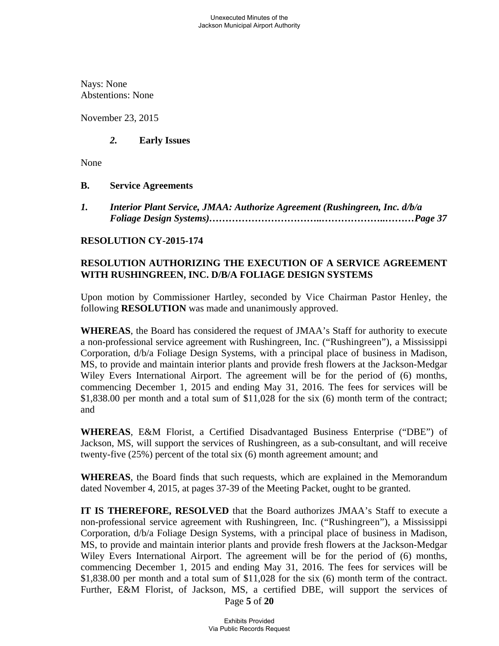Nays: None Abstentions: None

November 23, 2015

# *2.* **Early Issues**

None

# **B. Service Agreements**

*1. Interior Plant Service, JMAA: Authorize Agreement (Rushingreen, Inc. d/b/a Foliage Design Systems)……………………………..………………..………Page 37* 

# **RESOLUTION CY-2015-174**

# **RESOLUTION AUTHORIZING THE EXECUTION OF A SERVICE AGREEMENT WITH RUSHINGREEN, INC. D/B/A FOLIAGE DESIGN SYSTEMS**

Upon motion by Commissioner Hartley, seconded by Vice Chairman Pastor Henley, the following **RESOLUTION** was made and unanimously approved.

**WHEREAS**, the Board has considered the request of JMAA's Staff for authority to execute a non-professional service agreement with Rushingreen, Inc. ("Rushingreen"), a Mississippi Corporation, d/b/a Foliage Design Systems, with a principal place of business in Madison, MS, to provide and maintain interior plants and provide fresh flowers at the Jackson-Medgar Wiley Evers International Airport. The agreement will be for the period of (6) months, commencing December 1, 2015 and ending May 31, 2016. The fees for services will be \$1,838.00 per month and a total sum of \$11,028 for the six (6) month term of the contract; and

**WHEREAS**, E&M Florist, a Certified Disadvantaged Business Enterprise ("DBE") of Jackson, MS, will support the services of Rushingreen, as a sub-consultant, and will receive twenty-five (25%) percent of the total six (6) month agreement amount; and

**WHEREAS**, the Board finds that such requests, which are explained in the Memorandum dated November 4, 2015, at pages 37-39 of the Meeting Packet, ought to be granted.

**IT IS THEREFORE, RESOLVED** that the Board authorizes JMAA's Staff to execute a non-professional service agreement with Rushingreen, Inc. ("Rushingreen"), a Mississippi Corporation, d/b/a Foliage Design Systems, with a principal place of business in Madison, MS, to provide and maintain interior plants and provide fresh flowers at the Jackson-Medgar Wiley Evers International Airport. The agreement will be for the period of (6) months, commencing December 1, 2015 and ending May 31, 2016. The fees for services will be \$1,838.00 per month and a total sum of \$11,028 for the six (6) month term of the contract. Further, E&M Florist, of Jackson, MS, a certified DBE, will support the services of

Page **5** of **20**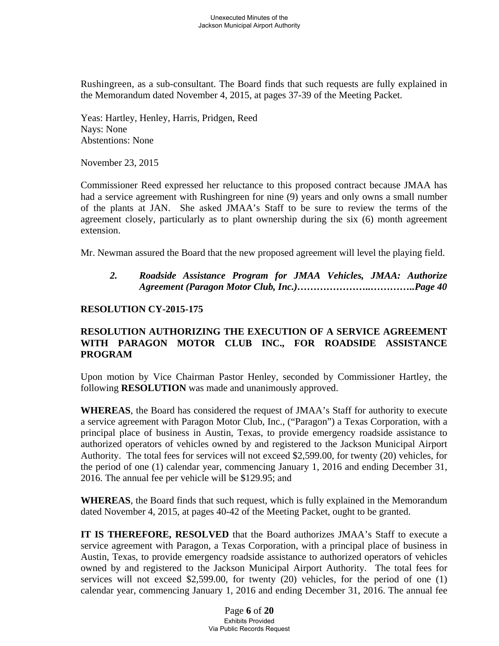Rushingreen, as a sub-consultant. The Board finds that such requests are fully explained in the Memorandum dated November 4, 2015, at pages 37-39 of the Meeting Packet.

 Yeas: Hartley, Henley, Harris, Pridgen, Reed Nays: None Abstentions: None

November 23, 2015

Commissioner Reed expressed her reluctance to this proposed contract because JMAA has had a service agreement with Rushingreen for nine (9) years and only owns a small number of the plants at JAN. She asked JMAA's Staff to be sure to review the terms of the agreement closely, particularly as to plant ownership during the six (6) month agreement extension.

Mr. Newman assured the Board that the new proposed agreement will level the playing field.

 *2. Roadside Assistance Program for JMAA Vehicles, JMAA: Authorize Agreement (Paragon Motor Club, Inc.)…………………..…………..Page 40* 

## **RESOLUTION CY-2015-175**

# **RESOLUTION AUTHORIZING THE EXECUTION OF A SERVICE AGREEMENT WITH PARAGON MOTOR CLUB INC., FOR ROADSIDE ASSISTANCE PROGRAM**

Upon motion by Vice Chairman Pastor Henley, seconded by Commissioner Hartley, the following **RESOLUTION** was made and unanimously approved.

**WHEREAS**, the Board has considered the request of JMAA's Staff for authority to execute a service agreement with Paragon Motor Club, Inc., ("Paragon") a Texas Corporation, with a principal place of business in Austin, Texas, to provide emergency roadside assistance to authorized operators of vehicles owned by and registered to the Jackson Municipal Airport Authority. The total fees for services will not exceed \$2,599.00, for twenty (20) vehicles, for the period of one (1) calendar year, commencing January 1, 2016 and ending December 31, 2016. The annual fee per vehicle will be \$129.95; and

**WHEREAS**, the Board finds that such request, which is fully explained in the Memorandum dated November 4, 2015, at pages 40-42 of the Meeting Packet, ought to be granted.

**IT IS THEREFORE, RESOLVED** that the Board authorizes JMAA's Staff to execute a service agreement with Paragon, a Texas Corporation, with a principal place of business in Austin, Texas, to provide emergency roadside assistance to authorized operators of vehicles owned by and registered to the Jackson Municipal Airport Authority. The total fees for services will not exceed \$2,599.00, for twenty (20) vehicles, for the period of one (1) calendar year, commencing January 1, 2016 and ending December 31, 2016. The annual fee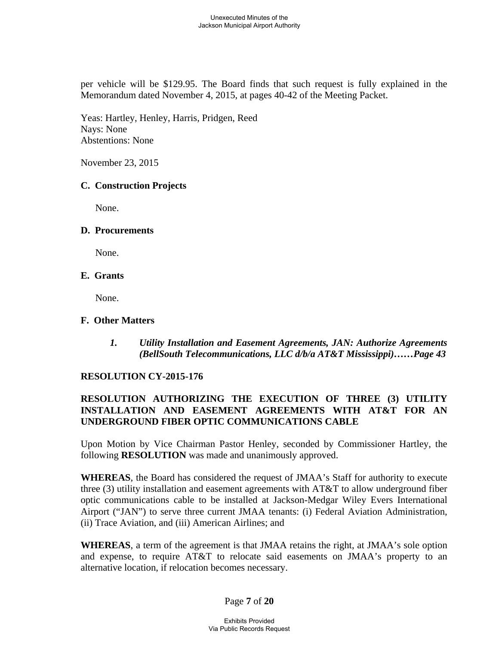per vehicle will be \$129.95. The Board finds that such request is fully explained in the Memorandum dated November 4, 2015, at pages 40-42 of the Meeting Packet.

 Yeas: Hartley, Henley, Harris, Pridgen, Reed Nays: None Abstentions: None

November 23, 2015

## **C. Construction Projects**

None.

## **D. Procurements**

None.

## **E. Grants**

None.

## **F. Other Matters**

*1. Utility Installation and Easement Agreements, JAN: Authorize Agreements (BellSouth Telecommunications, LLC d/b/a AT&T Mississippi)……Page 43* 

# **RESOLUTION CY-2015-176**

# **RESOLUTION AUTHORIZING THE EXECUTION OF THREE (3) UTILITY INSTALLATION AND EASEMENT AGREEMENTS WITH AT&T FOR AN UNDERGROUND FIBER OPTIC COMMUNICATIONS CABLE**

Upon Motion by Vice Chairman Pastor Henley, seconded by Commissioner Hartley, the following **RESOLUTION** was made and unanimously approved.

**WHEREAS**, the Board has considered the request of JMAA's Staff for authority to execute three (3) utility installation and easement agreements with AT&T to allow underground fiber optic communications cable to be installed at Jackson-Medgar Wiley Evers International Airport ("JAN") to serve three current JMAA tenants: (i) Federal Aviation Administration, (ii) Trace Aviation, and (iii) American Airlines; and

**WHEREAS**, a term of the agreement is that JMAA retains the right, at JMAA's sole option and expense, to require AT&T to relocate said easements on JMAA's property to an alternative location, if relocation becomes necessary.

Page **7** of **20**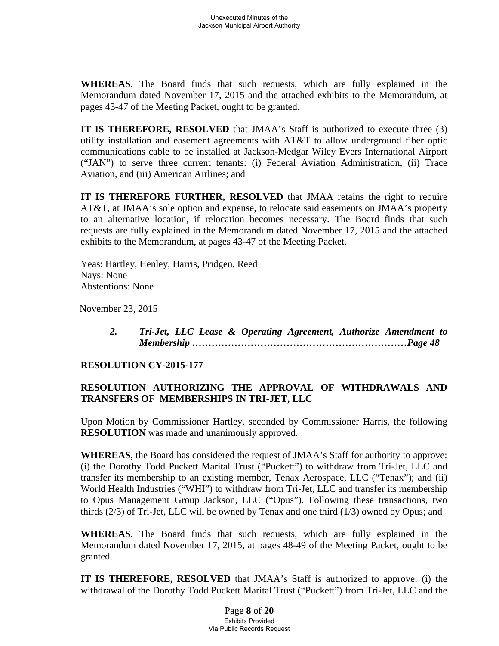**WHEREAS**, The Board finds that such requests, which are fully explained in the Memorandum dated November 17, 2015 and the attached exhibits to the Memorandum, at pages 43-47 of the Meeting Packet, ought to be granted.

**IT IS THEREFORE, RESOLVED** that JMAA's Staff is authorized to execute three (3) utility installation and easement agreements with AT&T to allow underground fiber optic communications cable to be installed at Jackson-Medgar Wiley Evers International Airport ("JAN") to serve three current tenants: (i) Federal Aviation Administration, (ii) Trace Aviation, and (iii) American Airlines; and

**IT IS THEREFORE FURTHER, RESOLVED** that JMAA retains the right to require AT&T, at JMAA's sole option and expense, to relocate said easements on JMAA's property to an alternative location, if relocation becomes necessary. The Board finds that such requests are fully explained in the Memorandum dated November 17, 2015 and the attached exhibits to the Memorandum, at pages 43-47 of the Meeting Packet.

Yeas: Hartley, Henley, Harris, Pridgen, Reed Nays: None Abstentions: None

November 23, 2015

*2. Tri-Jet, LLC Lease & Operating Agreement, Authorize Amendment to Membership …………………………………………………………Page 48* 

### **RESOLUTION CY-2015-177**

# **RESOLUTION AUTHORIZING THE APPROVAL OF WITHDRAWALS AND TRANSFERS OF MEMBERSHIPS IN TRI-JET, LLC**

Upon Motion by Commissioner Hartley, seconded by Commissioner Harris, the following **RESOLUTION** was made and unanimously approved.

**WHEREAS**, the Board has considered the request of JMAA's Staff for authority to approve: (i) the Dorothy Todd Puckett Marital Trust ("Puckett") to withdraw from Tri-Jet, LLC and transfer its membership to an existing member, Tenax Aerospace, LLC ("Tenax"); and (ii) World Health Industries ("WHI") to withdraw from Tri-Jet, LLC and transfer its membership to Opus Management Group Jackson, LLC ("Opus"). Following these transactions, two thirds (2/3) of Tri-Jet, LLC will be owned by Tenax and one third (1/3) owned by Opus; and

**WHEREAS**, The Board finds that such requests, which are fully explained in the Memorandum dated November 17, 2015, at pages 48-49 of the Meeting Packet, ought to be granted.

**IT IS THEREFORE, RESOLVED** that JMAA's Staff is authorized to approve: (i) the withdrawal of the Dorothy Todd Puckett Marital Trust ("Puckett") from Tri-Jet, LLC and the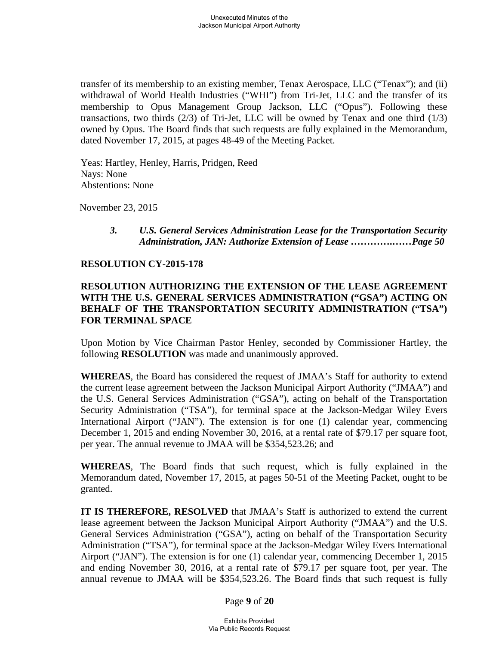transfer of its membership to an existing member, Tenax Aerospace, LLC ("Tenax"); and (ii) withdrawal of World Health Industries ("WHI") from Tri-Jet, LLC and the transfer of its membership to Opus Management Group Jackson, LLC ("Opus"). Following these transactions, two thirds  $(2/3)$  of Tri-Jet, LLC will be owned by Tenax and one third  $(1/3)$ owned by Opus. The Board finds that such requests are fully explained in the Memorandum, dated November 17, 2015, at pages 48-49 of the Meeting Packet.

Yeas: Hartley, Henley, Harris, Pridgen, Reed Nays: None Abstentions: None

November 23, 2015

*3. U.S. General Services Administration Lease for the Transportation Security Administration, JAN: Authorize Extension of Lease ………….……Page 50* 

### **RESOLUTION CY-2015-178**

## **RESOLUTION AUTHORIZING THE EXTENSION OF THE LEASE AGREEMENT WITH THE U.S. GENERAL SERVICES ADMINISTRATION ("GSA") ACTING ON BEHALF OF THE TRANSPORTATION SECURITY ADMINISTRATION ("TSA") FOR TERMINAL SPACE**

Upon Motion by Vice Chairman Pastor Henley, seconded by Commissioner Hartley, the following **RESOLUTION** was made and unanimously approved.

**WHEREAS**, the Board has considered the request of JMAA's Staff for authority to extend the current lease agreement between the Jackson Municipal Airport Authority ("JMAA") and the U.S. General Services Administration ("GSA"), acting on behalf of the Transportation Security Administration ("TSA"), for terminal space at the Jackson-Medgar Wiley Evers International Airport ("JAN"). The extension is for one (1) calendar year, commencing December 1, 2015 and ending November 30, 2016, at a rental rate of \$79.17 per square foot, per year. The annual revenue to JMAA will be \$354,523.26; and

**WHEREAS**, The Board finds that such request, which is fully explained in the Memorandum dated, November 17, 2015, at pages 50-51 of the Meeting Packet, ought to be granted.

**IT IS THEREFORE, RESOLVED** that JMAA's Staff is authorized to extend the current lease agreement between the Jackson Municipal Airport Authority ("JMAA") and the U.S. General Services Administration ("GSA"), acting on behalf of the Transportation Security Administration ("TSA"), for terminal space at the Jackson-Medgar Wiley Evers International Airport ("JAN"). The extension is for one (1) calendar year, commencing December 1, 2015 and ending November 30, 2016, at a rental rate of \$79.17 per square foot, per year. The annual revenue to JMAA will be \$354,523.26. The Board finds that such request is fully

Page **9** of **20**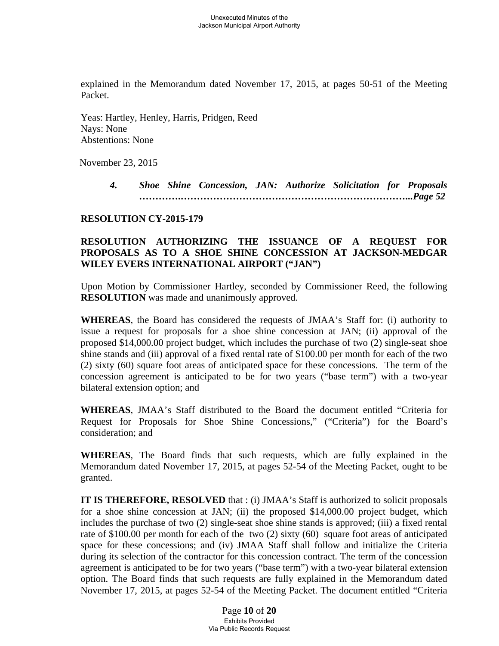explained in the Memorandum dated November 17, 2015, at pages 50-51 of the Meeting Packet.

Yeas: Hartley, Henley, Harris, Pridgen, Reed Nays: None Abstentions: None

November 23, 2015

*4. Shoe Shine Concession, JAN: Authorize Solicitation for Proposals ………….……………………………………………………………...Page 52* 

## **RESOLUTION CY-2015-179**

# **RESOLUTION AUTHORIZING THE ISSUANCE OF A REQUEST FOR PROPOSALS AS TO A SHOE SHINE CONCESSION AT JACKSON-MEDGAR WILEY EVERS INTERNATIONAL AIRPORT ("JAN")**

Upon Motion by Commissioner Hartley, seconded by Commissioner Reed, the following **RESOLUTION** was made and unanimously approved.

**WHEREAS**, the Board has considered the requests of JMAA's Staff for: (i) authority to issue a request for proposals for a shoe shine concession at JAN; (ii) approval of the proposed \$14,000.00 project budget, which includes the purchase of two (2) single-seat shoe shine stands and (iii) approval of a fixed rental rate of \$100.00 per month for each of the two (2) sixty (60) square foot areas of anticipated space for these concessions. The term of the concession agreement is anticipated to be for two years ("base term") with a two-year bilateral extension option; and

**WHEREAS**, JMAA's Staff distributed to the Board the document entitled "Criteria for Request for Proposals for Shoe Shine Concessions," ("Criteria") for the Board's consideration; and

**WHEREAS**, The Board finds that such requests, which are fully explained in the Memorandum dated November 17, 2015, at pages 52-54 of the Meeting Packet, ought to be granted.

**IT IS THEREFORE, RESOLVED** that : (i) JMAA's Staff is authorized to solicit proposals for a shoe shine concession at JAN; (ii) the proposed \$14,000.00 project budget, which includes the purchase of two (2) single-seat shoe shine stands is approved; (iii) a fixed rental rate of \$100.00 per month for each of the two (2) sixty (60) square foot areas of anticipated space for these concessions; and (iv) JMAA Staff shall follow and initialize the Criteria during its selection of the contractor for this concession contract. The term of the concession agreement is anticipated to be for two years ("base term") with a two-year bilateral extension option. The Board finds that such requests are fully explained in the Memorandum dated November 17, 2015, at pages 52-54 of the Meeting Packet. The document entitled "Criteria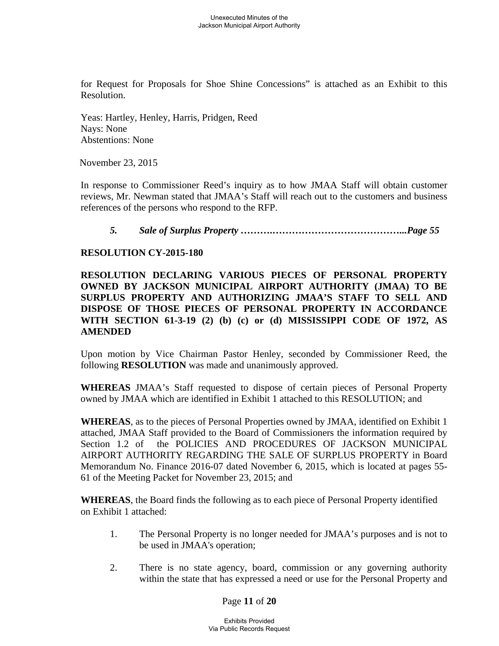for Request for Proposals for Shoe Shine Concessions" is attached as an Exhibit to this Resolution.

Yeas: Hartley, Henley, Harris, Pridgen, Reed Nays: None Abstentions: None

November 23, 2015

In response to Commissioner Reed's inquiry as to how JMAA Staff will obtain customer reviews, Mr. Newman stated that JMAA's Staff will reach out to the customers and business references of the persons who respond to the RFP.

### *5. Sale of Surplus Property ……….…………………………………...Page 55*

#### **RESOLUTION CY-2015-180**

## **RESOLUTION DECLARING VARIOUS PIECES OF PERSONAL PROPERTY OWNED BY JACKSON MUNICIPAL AIRPORT AUTHORITY (JMAA) TO BE SURPLUS PROPERTY AND AUTHORIZING JMAA'S STAFF TO SELL AND DISPOSE OF THOSE PIECES OF PERSONAL PROPERTY IN ACCORDANCE WITH SECTION 61-3-19 (2) (b) (c) or (d) MISSISSIPPI CODE OF 1972, AS AMENDED**

Upon motion by Vice Chairman Pastor Henley, seconded by Commissioner Reed, the following **RESOLUTION** was made and unanimously approved.

**WHEREAS** JMAA's Staff requested to dispose of certain pieces of Personal Property owned by JMAA which are identified in Exhibit 1 attached to this RESOLUTION; and

**WHEREAS**, as to the pieces of Personal Properties owned by JMAA, identified on Exhibit 1 attached, JMAA Staff provided to the Board of Commissioners the information required by Section 1.2 of the POLICIES AND PROCEDURES OF JACKSON MUNICIPAL AIRPORT AUTHORITY REGARDING THE SALE OF SURPLUS PROPERTY in Board Memorandum No. Finance 2016-07 dated November 6, 2015, which is located at pages 55- 61 of the Meeting Packet for November 23, 2015; and

**WHEREAS**, the Board finds the following as to each piece of Personal Property identified on Exhibit 1 attached:

- 1. The Personal Property is no longer needed for JMAA's purposes and is not to be used in JMAA's operation;
- 2. There is no state agency, board, commission or any governing authority within the state that has expressed a need or use for the Personal Property and

Page **11** of **20**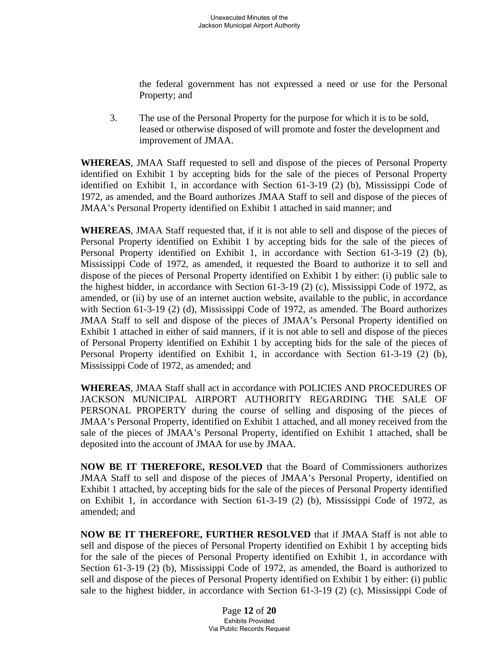the federal government has not expressed a need or use for the Personal Property; and

3. The use of the Personal Property for the purpose for which it is to be sold, leased or otherwise disposed of will promote and foster the development and improvement of JMAA.

**WHEREAS**, JMAA Staff requested to sell and dispose of the pieces of Personal Property identified on Exhibit 1 by accepting bids for the sale of the pieces of Personal Property identified on Exhibit 1, in accordance with Section 61-3-19 (2) (b), Mississippi Code of 1972, as amended, and the Board authorizes JMAA Staff to sell and dispose of the pieces of JMAA's Personal Property identified on Exhibit 1 attached in said manner; and

**WHEREAS**, JMAA Staff requested that, if it is not able to sell and dispose of the pieces of Personal Property identified on Exhibit 1 by accepting bids for the sale of the pieces of Personal Property identified on Exhibit 1, in accordance with Section 61-3-19 (2) (b), Mississippi Code of 1972, as amended, it requested the Board to authorize it to sell and dispose of the pieces of Personal Property identified on Exhibit 1 by either: (i) public sale to the highest bidder, in accordance with Section 61-3-19 (2) (c), Mississippi Code of 1972, as amended, or (ii) by use of an internet auction website, available to the public, in accordance with Section 61-3-19 (2) (d), Mississippi Code of 1972, as amended. The Board authorizes JMAA Staff to sell and dispose of the pieces of JMAA's Personal Property identified on Exhibit 1 attached in either of said manners, if it is not able to sell and dispose of the pieces of Personal Property identified on Exhibit 1 by accepting bids for the sale of the pieces of Personal Property identified on Exhibit 1, in accordance with Section 61-3-19 (2) (b), Mississippi Code of 1972, as amended; and

**WHEREAS**, JMAA Staff shall act in accordance with POLICIES AND PROCEDURES OF JACKSON MUNICIPAL AIRPORT AUTHORITY REGARDING THE SALE OF PERSONAL PROPERTY during the course of selling and disposing of the pieces of JMAA's Personal Property, identified on Exhibit 1 attached, and all money received from the sale of the pieces of JMAA's Personal Property, identified on Exhibit 1 attached, shall be deposited into the account of JMAA for use by JMAA.

**NOW BE IT THEREFORE, RESOLVED** that the Board of Commissioners authorizes JMAA Staff to sell and dispose of the pieces of JMAA's Personal Property, identified on Exhibit 1 attached, by accepting bids for the sale of the pieces of Personal Property identified on Exhibit 1, in accordance with Section 61-3-19 (2) (b), Mississippi Code of 1972, as amended; and

**NOW BE IT THEREFORE, FURTHER RESOLVED** that if JMAA Staff is not able to sell and dispose of the pieces of Personal Property identified on Exhibit 1 by accepting bids for the sale of the pieces of Personal Property identified on Exhibit 1, in accordance with Section 61-3-19 (2) (b), Mississippi Code of 1972, as amended, the Board is authorized to sell and dispose of the pieces of Personal Property identified on Exhibit 1 by either: (i) public sale to the highest bidder, in accordance with Section 61-3-19 (2) (c), Mississippi Code of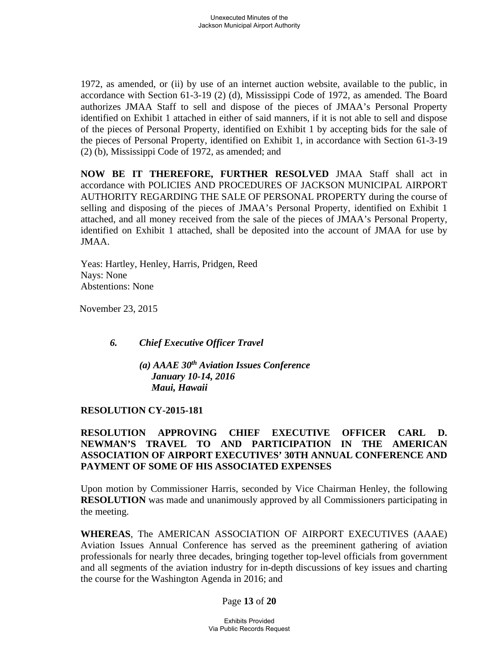1972, as amended, or (ii) by use of an internet auction website, available to the public, in accordance with Section 61-3-19 (2) (d), Mississippi Code of 1972, as amended. The Board authorizes JMAA Staff to sell and dispose of the pieces of JMAA's Personal Property identified on Exhibit 1 attached in either of said manners, if it is not able to sell and dispose of the pieces of Personal Property, identified on Exhibit 1 by accepting bids for the sale of the pieces of Personal Property, identified on Exhibit 1, in accordance with Section 61-3-19 (2) (b), Mississippi Code of 1972, as amended; and

**NOW BE IT THEREFORE, FURTHER RESOLVED** JMAA Staff shall act in accordance with POLICIES AND PROCEDURES OF JACKSON MUNICIPAL AIRPORT AUTHORITY REGARDING THE SALE OF PERSONAL PROPERTY during the course of selling and disposing of the pieces of JMAA's Personal Property, identified on Exhibit 1 attached, and all money received from the sale of the pieces of JMAA's Personal Property, identified on Exhibit 1 attached, shall be deposited into the account of JMAA for use by JMAA.

Yeas: Hartley, Henley, Harris, Pridgen, Reed Nays: None Abstentions: None

November 23, 2015

*6. Chief Executive Officer Travel* 

 *(a) AAAE 30th Aviation Issues Conference January 10-14, 2016 Maui, Hawaii* 

### **RESOLUTION CY-2015-181**

## **RESOLUTION APPROVING CHIEF EXECUTIVE OFFICER CARL D. NEWMAN'S TRAVEL TO AND PARTICIPATION IN THE AMERICAN ASSOCIATION OF AIRPORT EXECUTIVES' 30TH ANNUAL CONFERENCE AND PAYMENT OF SOME OF HIS ASSOCIATED EXPENSES**

Upon motion by Commissioner Harris, seconded by Vice Chairman Henley, the following **RESOLUTION** was made and unanimously approved by all Commissioners participating in the meeting.

**WHEREAS**, The AMERICAN ASSOCIATION OF AIRPORT EXECUTIVES (AAAE) Aviation Issues Annual Conference has served as the preeminent gathering of aviation professionals for nearly three decades, bringing together top-level officials from government and all segments of the aviation industry for in-depth discussions of key issues and charting the course for the Washington Agenda in 2016; and

### Page **13** of **20**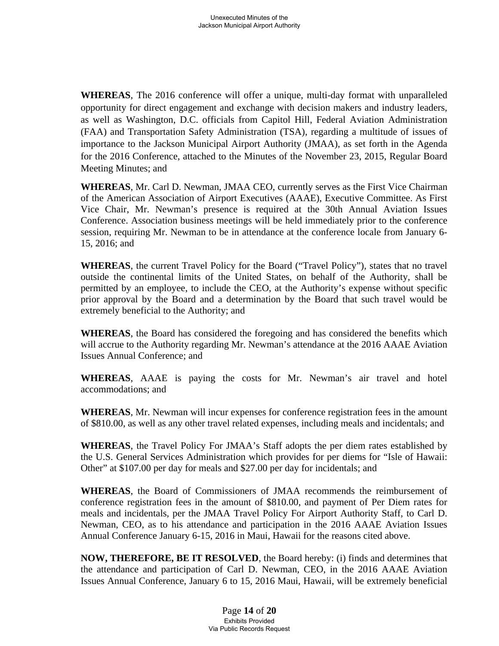**WHEREAS**, The 2016 conference will offer a unique, multi-day format with unparalleled opportunity for direct engagement and exchange with decision makers and industry leaders, as well as Washington, D.C. officials from Capitol Hill, Federal Aviation Administration (FAA) and Transportation Safety Administration (TSA), regarding a multitude of issues of importance to the Jackson Municipal Airport Authority (JMAA), as set forth in the Agenda for the 2016 Conference, attached to the Minutes of the November 23, 2015, Regular Board Meeting Minutes; and

**WHEREAS**, Mr. Carl D. Newman, JMAA CEO, currently serves as the First Vice Chairman of the American Association of Airport Executives (AAAE), Executive Committee. As First Vice Chair, Mr. Newman's presence is required at the 30th Annual Aviation Issues Conference. Association business meetings will be held immediately prior to the conference session, requiring Mr. Newman to be in attendance at the conference locale from January 6- 15, 2016; and

**WHEREAS**, the current Travel Policy for the Board ("Travel Policy"), states that no travel outside the continental limits of the United States, on behalf of the Authority, shall be permitted by an employee, to include the CEO, at the Authority's expense without specific prior approval by the Board and a determination by the Board that such travel would be extremely beneficial to the Authority; and

**WHEREAS**, the Board has considered the foregoing and has considered the benefits which will accrue to the Authority regarding Mr. Newman's attendance at the 2016 AAAE Aviation Issues Annual Conference; and

**WHEREAS**, AAAE is paying the costs for Mr. Newman's air travel and hotel accommodations; and

**WHEREAS**, Mr. Newman will incur expenses for conference registration fees in the amount of \$810.00, as well as any other travel related expenses, including meals and incidentals; and

**WHEREAS**, the Travel Policy For JMAA's Staff adopts the per diem rates established by the U.S. General Services Administration which provides for per diems for "Isle of Hawaii: Other" at \$107.00 per day for meals and \$27.00 per day for incidentals; and

**WHEREAS**, the Board of Commissioners of JMAA recommends the reimbursement of conference registration fees in the amount of \$810.00, and payment of Per Diem rates for meals and incidentals, per the JMAA Travel Policy For Airport Authority Staff, to Carl D. Newman, CEO, as to his attendance and participation in the 2016 AAAE Aviation Issues Annual Conference January 6-15, 2016 in Maui, Hawaii for the reasons cited above.

**NOW, THEREFORE, BE IT RESOLVED**, the Board hereby: (i) finds and determines that the attendance and participation of Carl D. Newman, CEO, in the 2016 AAAE Aviation Issues Annual Conference, January 6 to 15, 2016 Maui, Hawaii, will be extremely beneficial

> Page **14** of **20** Exhibits Provided Via Public Records Request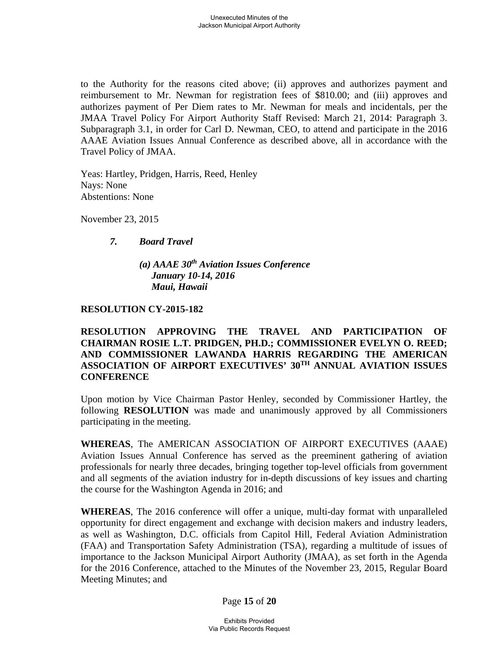to the Authority for the reasons cited above; (ii) approves and authorizes payment and reimbursement to Mr. Newman for registration fees of \$810.00; and (iii) approves and authorizes payment of Per Diem rates to Mr. Newman for meals and incidentals, per the JMAA Travel Policy For Airport Authority Staff Revised: March 21, 2014: Paragraph 3. Subparagraph 3.1, in order for Carl D. Newman, CEO, to attend and participate in the 2016 AAAE Aviation Issues Annual Conference as described above, all in accordance with the Travel Policy of JMAA.

Yeas: Hartley, Pridgen, Harris, Reed, Henley Nays: None Abstentions: None

November 23, 2015

# *7. Board Travel*

 *(a) AAAE 30th Aviation Issues Conference January 10-14, 2016 Maui, Hawaii* 

# **RESOLUTION CY-2015-182**

**RESOLUTION APPROVING THE TRAVEL AND PARTICIPATION OF CHAIRMAN ROSIE L.T. PRIDGEN, PH.D.; COMMISSIONER EVELYN O. REED; AND COMMISSIONER LAWANDA HARRIS REGARDING THE AMERICAN ASSOCIATION OF AIRPORT EXECUTIVES' 30TH ANNUAL AVIATION ISSUES CONFERENCE** 

Upon motion by Vice Chairman Pastor Henley, seconded by Commissioner Hartley, the following **RESOLUTION** was made and unanimously approved by all Commissioners participating in the meeting.

**WHEREAS**, The AMERICAN ASSOCIATION OF AIRPORT EXECUTIVES (AAAE) Aviation Issues Annual Conference has served as the preeminent gathering of aviation professionals for nearly three decades, bringing together top-level officials from government and all segments of the aviation industry for in-depth discussions of key issues and charting the course for the Washington Agenda in 2016; and

**WHEREAS**, The 2016 conference will offer a unique, multi-day format with unparalleled opportunity for direct engagement and exchange with decision makers and industry leaders, as well as Washington, D.C. officials from Capitol Hill, Federal Aviation Administration (FAA) and Transportation Safety Administration (TSA), regarding a multitude of issues of importance to the Jackson Municipal Airport Authority (JMAA), as set forth in the Agenda for the 2016 Conference, attached to the Minutes of the November 23, 2015, Regular Board Meeting Minutes; and

Page **15** of **20**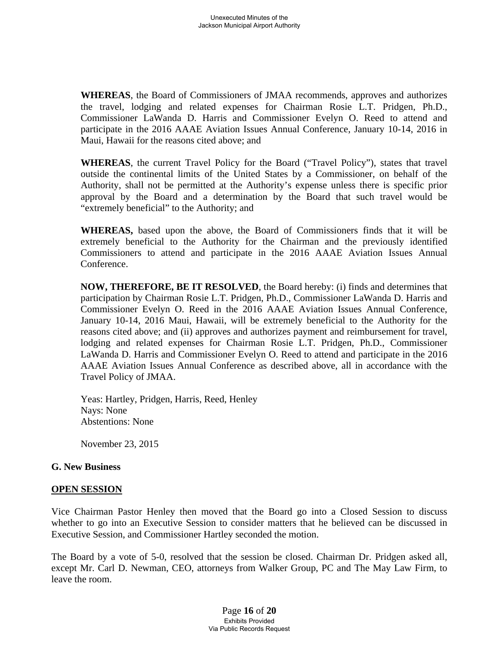**WHEREAS**, the Board of Commissioners of JMAA recommends, approves and authorizes the travel, lodging and related expenses for Chairman Rosie L.T. Pridgen, Ph.D., Commissioner LaWanda D. Harris and Commissioner Evelyn O. Reed to attend and participate in the 2016 AAAE Aviation Issues Annual Conference, January 10-14, 2016 in Maui, Hawaii for the reasons cited above; and

**WHEREAS**, the current Travel Policy for the Board ("Travel Policy"), states that travel outside the continental limits of the United States by a Commissioner, on behalf of the Authority, shall not be permitted at the Authority's expense unless there is specific prior approval by the Board and a determination by the Board that such travel would be "extremely beneficial" to the Authority; and

**WHEREAS,** based upon the above, the Board of Commissioners finds that it will be extremely beneficial to the Authority for the Chairman and the previously identified Commissioners to attend and participate in the 2016 AAAE Aviation Issues Annual Conference.

**NOW, THEREFORE, BE IT RESOLVED**, the Board hereby: (i) finds and determines that participation by Chairman Rosie L.T. Pridgen, Ph.D., Commissioner LaWanda D. Harris and Commissioner Evelyn O. Reed in the 2016 AAAE Aviation Issues Annual Conference, January 10-14, 2016 Maui, Hawaii, will be extremely beneficial to the Authority for the reasons cited above; and (ii) approves and authorizes payment and reimbursement for travel, lodging and related expenses for Chairman Rosie L.T. Pridgen, Ph.D., Commissioner LaWanda D. Harris and Commissioner Evelyn O. Reed to attend and participate in the 2016 AAAE Aviation Issues Annual Conference as described above, all in accordance with the Travel Policy of JMAA.

Yeas: Hartley, Pridgen, Harris, Reed, Henley Nays: None Abstentions: None

November 23, 2015

## **G. New Business**

### **OPEN SESSION**

Vice Chairman Pastor Henley then moved that the Board go into a Closed Session to discuss whether to go into an Executive Session to consider matters that he believed can be discussed in Executive Session, and Commissioner Hartley seconded the motion.

The Board by a vote of 5-0, resolved that the session be closed. Chairman Dr. Pridgen asked all, except Mr. Carl D. Newman, CEO, attorneys from Walker Group, PC and The May Law Firm, to leave the room.

> Page **16** of **20** Exhibits Provided Via Public Records Request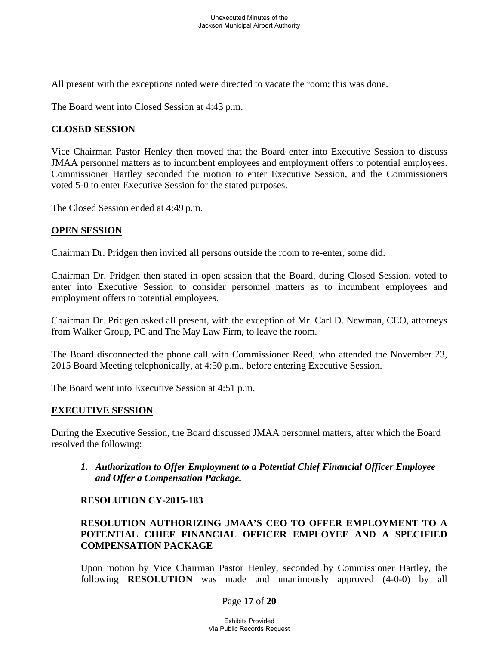All present with the exceptions noted were directed to vacate the room; this was done.

The Board went into Closed Session at 4:43 p.m.

## **CLOSED SESSION**

Vice Chairman Pastor Henley then moved that the Board enter into Executive Session to discuss JMAA personnel matters as to incumbent employees and employment offers to potential employees. Commissioner Hartley seconded the motion to enter Executive Session, and the Commissioners voted 5-0 to enter Executive Session for the stated purposes.

The Closed Session ended at 4:49 p.m.

### **OPEN SESSION**

Chairman Dr. Pridgen then invited all persons outside the room to re-enter, some did.

Chairman Dr. Pridgen then stated in open session that the Board, during Closed Session, voted to enter into Executive Session to consider personnel matters as to incumbent employees and employment offers to potential employees.

Chairman Dr. Pridgen asked all present, with the exception of Mr. Carl D. Newman, CEO, attorneys from Walker Group, PC and The May Law Firm, to leave the room.

The Board disconnected the phone call with Commissioner Reed, who attended the November 23, 2015 Board Meeting telephonically, at 4:50 p.m., before entering Executive Session.

The Board went into Executive Session at 4:51 p.m.

### **EXECUTIVE SESSION**

During the Executive Session, the Board discussed JMAA personnel matters, after which the Board resolved the following:

 *1. Authorization to Offer Employment to a Potential Chief Financial Officer Employee and Offer a Compensation Package.* 

### **RESOLUTION CY-2015-183**

# **RESOLUTION AUTHORIZING JMAA'S CEO TO OFFER EMPLOYMENT TO A POTENTIAL CHIEF FINANCIAL OFFICER EMPLOYEE AND A SPECIFIED COMPENSATION PACKAGE**

Upon motion by Vice Chairman Pastor Henley, seconded by Commissioner Hartley, the following **RESOLUTION** was made and unanimously approved (4-0-0) by all

Page **17** of **20**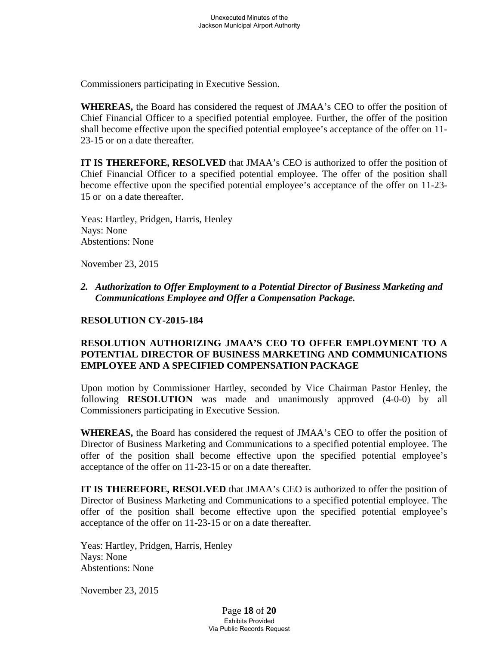Commissioners participating in Executive Session.

**WHEREAS,** the Board has considered the request of JMAA's CEO to offer the position of Chief Financial Officer to a specified potential employee. Further, the offer of the position shall become effective upon the specified potential employee's acceptance of the offer on 11- 23-15 or on a date thereafter.

**IT IS THEREFORE, RESOLVED** that JMAA's CEO is authorized to offer the position of Chief Financial Officer to a specified potential employee. The offer of the position shall become effective upon the specified potential employee's acceptance of the offer on 11-23- 15 or on a date thereafter.

 Yeas: Hartley, Pridgen, Harris, Henley Nays: None Abstentions: None

November 23, 2015

 *2. Authorization to Offer Employment to a Potential Director of Business Marketing and Communications Employee and Offer a Compensation Package.* 

## **RESOLUTION CY-2015-184**

# **RESOLUTION AUTHORIZING JMAA'S CEO TO OFFER EMPLOYMENT TO A POTENTIAL DIRECTOR OF BUSINESS MARKETING AND COMMUNICATIONS EMPLOYEE AND A SPECIFIED COMPENSATION PACKAGE**

Upon motion by Commissioner Hartley, seconded by Vice Chairman Pastor Henley, the following **RESOLUTION** was made and unanimously approved (4-0-0) by all Commissioners participating in Executive Session.

**WHEREAS,** the Board has considered the request of JMAA's CEO to offer the position of Director of Business Marketing and Communications to a specified potential employee. The offer of the position shall become effective upon the specified potential employee's acceptance of the offer on 11-23-15 or on a date thereafter.

**IT IS THEREFORE, RESOLVED** that JMAA's CEO is authorized to offer the position of Director of Business Marketing and Communications to a specified potential employee. The offer of the position shall become effective upon the specified potential employee's acceptance of the offer on 11-23-15 or on a date thereafter.

 Yeas: Hartley, Pridgen, Harris, Henley Nays: None Abstentions: None

November 23, 2015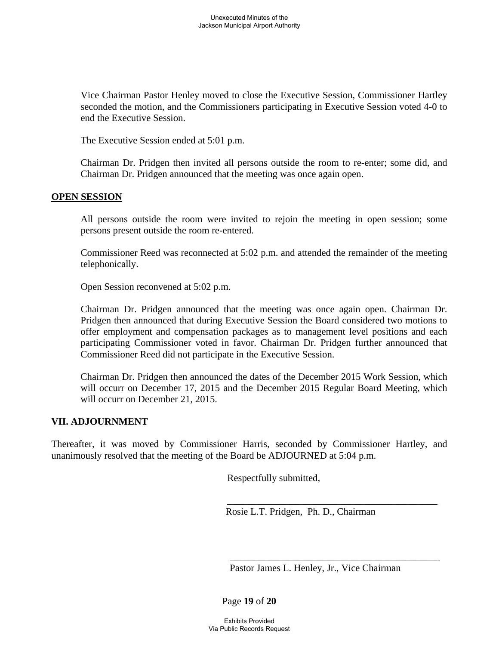Vice Chairman Pastor Henley moved to close the Executive Session, Commissioner Hartley seconded the motion, and the Commissioners participating in Executive Session voted 4-0 to end the Executive Session.

The Executive Session ended at 5:01 p.m.

Chairman Dr. Pridgen then invited all persons outside the room to re-enter; some did, and Chairman Dr. Pridgen announced that the meeting was once again open.

#### **OPEN SESSION**

 All persons outside the room were invited to rejoin the meeting in open session; some persons present outside the room re-entered.

Commissioner Reed was reconnected at 5:02 p.m. and attended the remainder of the meeting telephonically.

Open Session reconvened at 5:02 p.m.

Chairman Dr. Pridgen announced that the meeting was once again open. Chairman Dr. Pridgen then announced that during Executive Session the Board considered two motions to offer employment and compensation packages as to management level positions and each participating Commissioner voted in favor. Chairman Dr. Pridgen further announced that Commissioner Reed did not participate in the Executive Session.

Chairman Dr. Pridgen then announced the dates of the December 2015 Work Session, which will occurr on December 17, 2015 and the December 2015 Regular Board Meeting, which will occurr on December 21, 2015.

### **VII. ADJOURNMENT**

Thereafter, it was moved by Commissioner Harris, seconded by Commissioner Hartley, and unanimously resolved that the meeting of the Board be ADJOURNED at 5:04 p.m.

 $\overline{\phantom{a}}$  , which is a set of the set of the set of the set of the set of the set of the set of the set of the set of the set of the set of the set of the set of the set of the set of the set of the set of the set of th

Respectfully submitted,

Rosie L.T. Pridgen, Ph. D., Chairman

Pastor James L. Henley, Jr., Vice Chairman

Page **19** of **20**

 $\overline{\phantom{a}}$  , which is a set of the set of the set of the set of the set of the set of the set of the set of the set of the set of the set of the set of the set of the set of the set of the set of the set of the set of th

Exhibits Provided Via Public Records Request